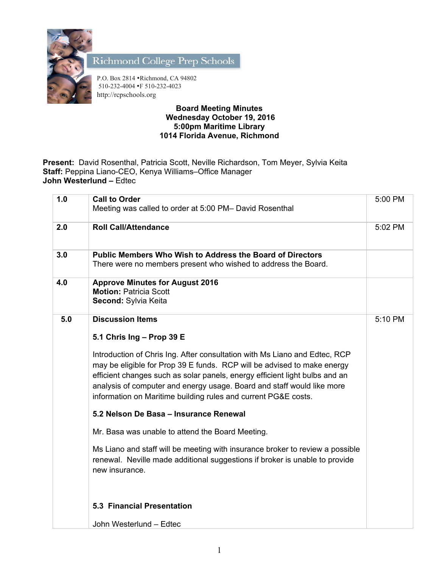

Richmond College Prep Schools

P.O. Box 2814 •Richmond, CA 94802 510-232-4004 •F 510-232-4023 http://rcpschools.org

## **Board Meeting Minutes Wednesday October 19, 2016 5:00pm Maritime Library 1014 Florida Avenue, Richmond**

**Present:** David Rosenthal, Patricia Scott, Neville Richardson, Tom Meyer, Sylvia Keita **Staff:** Peppina Liano-CEO, Kenya Williams–Office Manager **John Westerlund –** Edtec

| 1.0 | <b>Call to Order</b>                                                                                                                                                                                                                                                                                                                                                             | 5:00 PM |
|-----|----------------------------------------------------------------------------------------------------------------------------------------------------------------------------------------------------------------------------------------------------------------------------------------------------------------------------------------------------------------------------------|---------|
|     | Meeting was called to order at 5:00 PM- David Rosenthal                                                                                                                                                                                                                                                                                                                          |         |
| 2.0 | <b>Roll Call/Attendance</b>                                                                                                                                                                                                                                                                                                                                                      | 5:02 PM |
| 3.0 | Public Members Who Wish to Address the Board of Directors<br>There were no members present who wished to address the Board.                                                                                                                                                                                                                                                      |         |
| 4.0 | <b>Approve Minutes for August 2016</b><br><b>Motion: Patricia Scott</b><br>Second: Sylvia Keita                                                                                                                                                                                                                                                                                  |         |
| 5.0 | <b>Discussion Items</b>                                                                                                                                                                                                                                                                                                                                                          | 5:10 PM |
|     | 5.1 Chris Ing - Prop 39 E                                                                                                                                                                                                                                                                                                                                                        |         |
|     | Introduction of Chris Ing. After consultation with Ms Liano and Edtec, RCP<br>may be eligible for Prop 39 E funds. RCP will be advised to make energy<br>efficient changes such as solar panels, energy efficient light bulbs and an<br>analysis of computer and energy usage. Board and staff would like more<br>information on Maritime building rules and current PG&E costs. |         |
|     | 5.2 Nelson De Basa - Insurance Renewal                                                                                                                                                                                                                                                                                                                                           |         |
|     | Mr. Basa was unable to attend the Board Meeting.                                                                                                                                                                                                                                                                                                                                 |         |
|     | Ms Liano and staff will be meeting with insurance broker to review a possible<br>renewal. Neville made additional suggestions if broker is unable to provide<br>new insurance.                                                                                                                                                                                                   |         |
|     | <b>5.3 Financial Presentation</b>                                                                                                                                                                                                                                                                                                                                                |         |
|     | John Westerlund - Edtec                                                                                                                                                                                                                                                                                                                                                          |         |